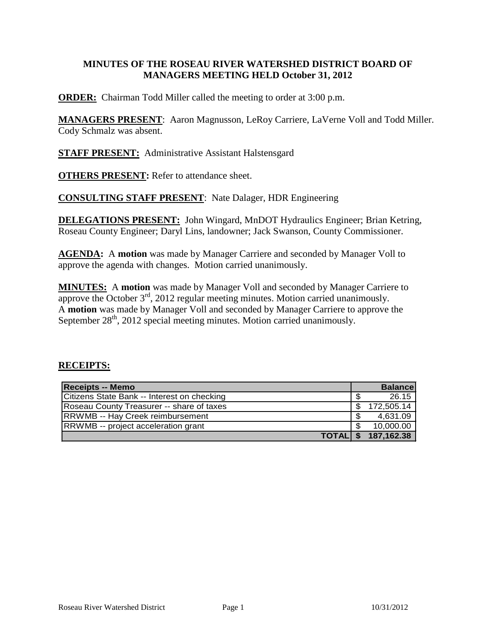## **MINUTES OF THE ROSEAU RIVER WATERSHED DISTRICT BOARD OF MANAGERS MEETING HELD October 31, 2012**

**ORDER:** Chairman Todd Miller called the meeting to order at 3:00 p.m.

**MANAGERS PRESENT**: Aaron Magnusson, LeRoy Carriere, LaVerne Voll and Todd Miller. Cody Schmalz was absent.

**STAFF PRESENT:** Administrative Assistant Halstensgard

**OTHERS PRESENT:** Refer to attendance sheet.

**CONSULTING STAFF PRESENT**: Nate Dalager, HDR Engineering

**DELEGATIONS PRESENT:** John Wingard, MnDOT Hydraulics Engineer; Brian Ketring, Roseau County Engineer; Daryl Lins, landowner; Jack Swanson, County Commissioner.

**AGENDA:** A **motion** was made by Manager Carriere and seconded by Manager Voll to approve the agenda with changes. Motion carried unanimously.

**MINUTES:** A **motion** was made by Manager Voll and seconded by Manager Carriere to approve the October  $3^{rd}$ , 2012 regular meeting minutes. Motion carried unanimously. A **motion** was made by Manager Voll and seconded by Manager Carriere to approve the September  $28<sup>th</sup>$ , 2012 special meeting minutes. Motion carried unanimously.

#### **RECEIPTS:**

| Receipts -- Memo                            | <b>Balance</b> |
|---------------------------------------------|----------------|
| Citizens State Bank -- Interest on checking | 26.15          |
| Roseau County Treasurer -- share of taxes   | 172,505.14     |
| <b>RRWMB</b> -- Hay Creek reimbursement     | 4,631.09       |
| <b>RRWMB</b> -- project acceleration grant  | 10,000.00      |
| <b>TOTALIS</b>                              | 187,162.38     |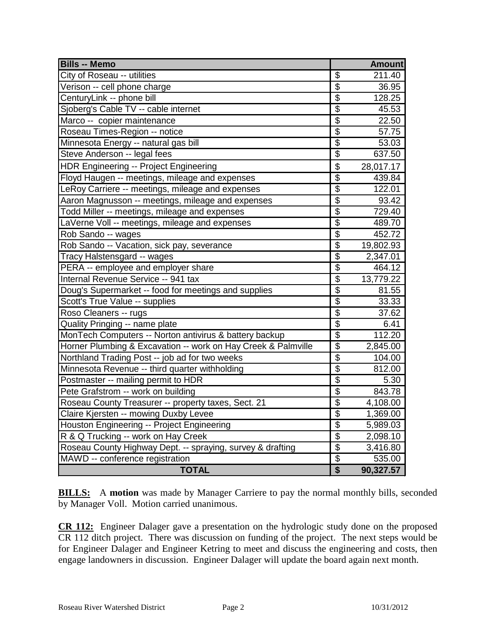| <b>Bills -- Memo</b>                                          |                       | <b>Amount</b> |
|---------------------------------------------------------------|-----------------------|---------------|
| City of Roseau -- utilities                                   | \$                    | 211.40        |
| Verison -- cell phone charge                                  | $\overline{\$}$       | 36.95         |
| CenturyLink -- phone bill                                     |                       | 128.25        |
| Sjoberg's Cable TV -- cable internet                          | 6 6 6 6 6             | 45.53         |
| Marco -- copier maintenance                                   |                       | 22.50         |
| Roseau Times-Region -- notice                                 |                       | 57.75         |
| Minnesota Energy -- natural gas bill                          |                       | 53.03         |
| Steve Anderson -- legal fees                                  | $\dot{\overline{\$}}$ | 637.50        |
| <b>HDR Engineering -- Project Engineering</b>                 | $\overline{\$}$       | 28,017.17     |
| Floyd Haugen -- meetings, mileage and expenses                | $\overline{\$}$       | 439.84        |
| LeRoy Carriere -- meetings, mileage and expenses              | $\overline{\$}$       | 122.01        |
| Aaron Magnusson -- meetings, mileage and expenses             | $\overline{\$}$       | 93.42         |
| Todd Miller -- meetings, mileage and expenses                 | $\overline{\$}$       | 729.40        |
| LaVerne Voll -- meetings, mileage and expenses                | $\overline{\$}$       | 489.70        |
| Rob Sando -- wages                                            | $\overline{\$}$       | 452.72        |
| Rob Sando -- Vacation, sick pay, severance                    | $\overline{\$}$       | 19,802.93     |
| Tracy Halstensgard -- wages                                   | $\overline{\$}$       | 2,347.01      |
| PERA -- employee and employer share                           | $\overline{\$}$       | 464.12        |
| Internal Revenue Service -- 941 tax                           | $\overline{\$}$       | 13,779.22     |
| Doug's Supermarket -- food for meetings and supplies          | $\overline{\$}$       | 81.55         |
| Scott's True Value -- supplies                                | $\overline{\$}$       | 33.33         |
| Roso Cleaners -- rugs                                         | $\overline{\$}$       | 37.62         |
| Quality Pringing -- name plate                                | $\overline{\$}$       | 6.41          |
| MonTech Computers -- Norton antivirus & battery backup        | $\overline{\$}$       | 112.20        |
| Horner Plumbing & Excavation -- work on Hay Creek & Palmville | $\overline{\$}$       | 2,845.00      |
| Northland Trading Post -- job ad for two weeks                | $\overline{\$}$       | 104.00        |
| Minnesota Revenue -- third quarter withholding                | $\overline{\$}$       | 812.00        |
| Postmaster -- mailing permit to HDR                           | $\overline{\$}$       | 5.30          |
| Pete Grafstrom -- work on building                            | $\overline{\$}$       | 843.78        |
| Roseau County Treasurer -- property taxes, Sect. 21           | $\overline{\$}$       | 4,108.00      |
| Claire Kjersten -- mowing Duxby Levee                         | $\overline{\$}$       | 1,369.00      |
| Houston Engineering -- Project Engineering                    | $\overline{\$}$       | 5,989.03      |
| R & Q Trucking -- work on Hay Creek                           | $\overline{\$}$       | 2,098.10      |
| Roseau County Highway Dept. -- spraying, survey & drafting    | $\overline{\$}$       | 3,416.80      |
| MAWD -- conference registration                               | $\overline{\$}$       | 535.00        |
| <b>TOTAL</b>                                                  | $\overline{\$}$       | 90,327.57     |

**BILLS:** A motion was made by Manager Carriere to pay the normal monthly bills, seconded by Manager Voll. Motion carried unanimous.

**CR 112:** Engineer Dalager gave a presentation on the hydrologic study done on the proposed CR 112 ditch project. There was discussion on funding of the project. The next steps would be for Engineer Dalager and Engineer Ketring to meet and discuss the engineering and costs, then engage landowners in discussion. Engineer Dalager will update the board again next month.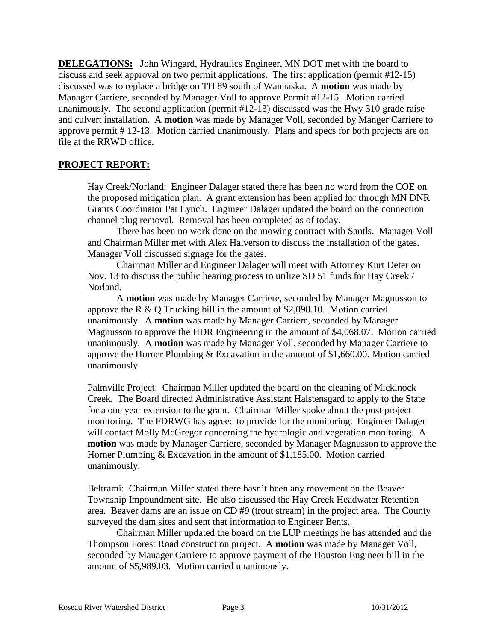**DELEGATIONS:** John Wingard, Hydraulics Engineer, MN DOT met with the board to discuss and seek approval on two permit applications. The first application (permit #12-15) discussed was to replace a bridge on TH 89 south of Wannaska. A **motion** was made by Manager Carriere, seconded by Manager Voll to approve Permit #12-15. Motion carried unanimously. The second application (permit #12-13) discussed was the Hwy 310 grade raise and culvert installation. A **motion** was made by Manager Voll, seconded by Manger Carriere to approve permit # 12-13. Motion carried unanimously. Plans and specs for both projects are on file at the RRWD office.

## **PROJECT REPORT:**

Hay Creek/Norland: Engineer Dalager stated there has been no word from the COE on the proposed mitigation plan. A grant extension has been applied for through MN DNR Grants Coordinator Pat Lynch. Engineer Dalager updated the board on the connection channel plug removal. Removal has been completed as of today.

There has been no work done on the mowing contract with Santls. Manager Voll and Chairman Miller met with Alex Halverson to discuss the installation of the gates. Manager Voll discussed signage for the gates.

Chairman Miller and Engineer Dalager will meet with Attorney Kurt Deter on Nov. 13 to discuss the public hearing process to utilize SD 51 funds for Hay Creek / Norland.

A **motion** was made by Manager Carriere, seconded by Manager Magnusson to approve the R & Q Trucking bill in the amount of \$2,098.10. Motion carried unanimously. A **motion** was made by Manager Carriere, seconded by Manager Magnusson to approve the HDR Engineering in the amount of \$4,068.07. Motion carried unanimously. A **motion** was made by Manager Voll, seconded by Manager Carriere to approve the Horner Plumbing & Excavation in the amount of \$1,660.00. Motion carried unanimously.

Palmville Project: Chairman Miller updated the board on the cleaning of Mickinock Creek. The Board directed Administrative Assistant Halstensgard to apply to the State for a one year extension to the grant. Chairman Miller spoke about the post project monitoring. The FDRWG has agreed to provide for the monitoring. Engineer Dalager will contact Molly McGregor concerning the hydrologic and vegetation monitoring. A **motion** was made by Manager Carriere, seconded by Manager Magnusson to approve the Horner Plumbing & Excavation in the amount of \$1,185.00. Motion carried unanimously.

Beltrami: Chairman Miller stated there hasn't been any movement on the Beaver Township Impoundment site. He also discussed the Hay Creek Headwater Retention area. Beaver dams are an issue on CD #9 (trout stream) in the project area. The County surveyed the dam sites and sent that information to Engineer Bents.

Chairman Miller updated the board on the LUP meetings he has attended and the Thompson Forest Road construction project. A **motion** was made by Manager Voll, seconded by Manager Carriere to approve payment of the Houston Engineer bill in the amount of \$5,989.03. Motion carried unanimously.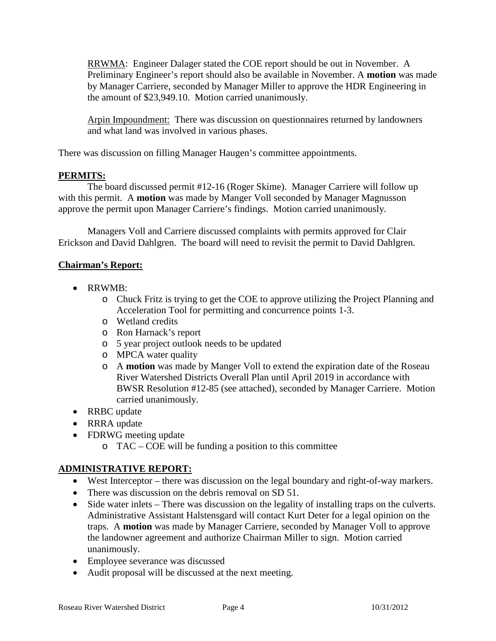RRWMA: Engineer Dalager stated the COE report should be out in November. A Preliminary Engineer's report should also be available in November. A **motion** was made by Manager Carriere, seconded by Manager Miller to approve the HDR Engineering in the amount of \$23,949.10. Motion carried unanimously.

Arpin Impoundment: There was discussion on questionnaires returned by landowners and what land was involved in various phases.

There was discussion on filling Manager Haugen's committee appointments.

## **PERMITS:**

The board discussed permit #12-16 (Roger Skime). Manager Carriere will follow up with this permit. A **motion** was made by Manger Voll seconded by Manager Magnusson approve the permit upon Manager Carriere's findings. Motion carried unanimously.

Managers Voll and Carriere discussed complaints with permits approved for Clair Erickson and David Dahlgren. The board will need to revisit the permit to David Dahlgren.

## **Chairman's Report:**

- RRWMB:
	- o Chuck Fritz is trying to get the COE to approve utilizing the Project Planning and Acceleration Tool for permitting and concurrence points 1-3.
	- o Wetland credits
	- o Ron Harnack's report
	- o 5 year project outlook needs to be updated
	- o MPCA water quality
	- o A **motion** was made by Manger Voll to extend the expiration date of the Roseau River Watershed Districts Overall Plan until April 2019 in accordance with BWSR Resolution #12-85 (see attached), seconded by Manager Carriere. Motion carried unanimously.
- RRBC update
- RRRA update
- FDRWG meeting update
	- o TAC COE will be funding a position to this committee

# **ADMINISTRATIVE REPORT:**

- West Interceptor there was discussion on the legal boundary and right-of-way markers.
- There was discussion on the debris removal on SD 51.
- Side water inlets There was discussion on the legality of installing traps on the culverts. Administrative Assistant Halstensgard will contact Kurt Deter for a legal opinion on the traps. A **motion** was made by Manager Carriere, seconded by Manager Voll to approve the landowner agreement and authorize Chairman Miller to sign. Motion carried unanimously.
- Employee severance was discussed
- Audit proposal will be discussed at the next meeting.